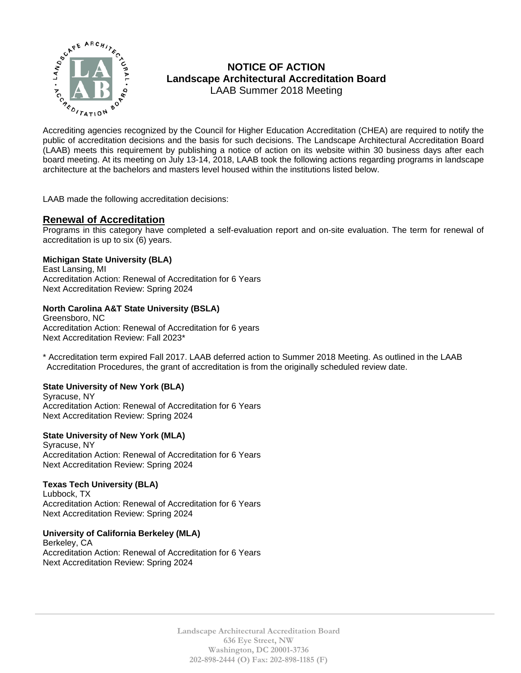

# **NOTICE OF ACTION Landscape Architectural Accreditation Board**  LAAB Summer 2018 Meeting

MOTICE OF ACTION<br>  $\sum_{k}^{n}$  MOTICE OF ACTION<br>
LAAB Summer 2018 Meeting<br>
Accreditation Board<br>
Accrediting agencies recognized by the Council for Higher Education Accreditation (CHEA) are required to notify the<br>
public of public of accreditation decisions and the basis for such decisions. The Landscape Architectural Accreditation Board (LAAB) meets this requirement by publishing a notice of action on its website within 30 business days after each board meeting. At its meeting on July 13-14, 2018, LAAB took the following actions regarding programs in landscape architecture at the bachelors and masters level housed within the institutions listed below.

LAAB made the following accreditation decisions:

# **Renewal of Accreditation**

Programs in this category have completed a self-evaluation report and on-site evaluation. The term for renewal of accreditation is up to six (6) years.

# **Michigan State University (BLA)**

East Lansing, MI Accreditation Action: Renewal of Accreditation for 6 Years Next Accreditation Review: Spring 2024

# **North Carolina A&T State University (BSLA)**

Greensboro, NC Accreditation Action: Renewal of Accreditation for 6 years Next Accreditation Review: Fall 2023\*

\* Accreditation term expired Fall 2017. LAAB deferred action to Summer 2018 Meeting. As outlined in the LAAB Accreditation Procedures, the grant of accreditation is from the originally scheduled review date.

### **State University of New York (BLA)**

Syracuse, NY Accreditation Action: Renewal of Accreditation for 6 Years Next Accreditation Review: Spring 2024

# **State University of New York (MLA)**

Syracuse, NY Accreditation Action: Renewal of Accreditation for 6 Years Next Accreditation Review: Spring 2024

# **Texas Tech University (BLA)**

Lubbock, TX Accreditation Action: Renewal of Accreditation for 6 Years Next Accreditation Review: Spring 2024

# **University of California Berkeley (MLA)**

Berkeley, CA Accreditation Action: Renewal of Accreditation for 6 Years Next Accreditation Review: Spring 2024

> **Landscape Architectural Accreditation Board 636 Eye Street, NW Washington, DC 20001-3736 202-898-2444 (O) Fax: 202-898-1185 (F)**